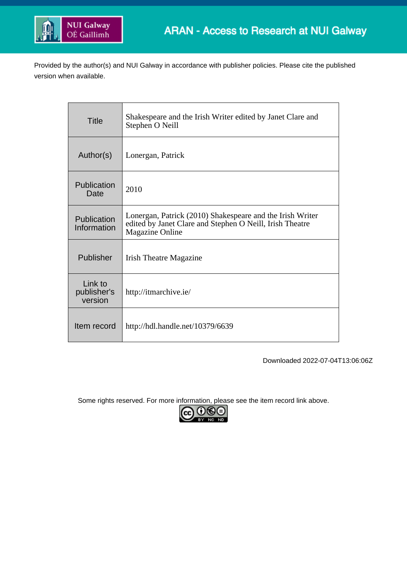

Provided by the author(s) and NUI Galway in accordance with publisher policies. Please cite the published version when available.

| <b>Title</b>                      | Shakespeare and the Irish Writer edited by Janet Clare and<br>Stephen O Neill                                                                   |
|-----------------------------------|-------------------------------------------------------------------------------------------------------------------------------------------------|
| Author(s)                         | Lonergan, Patrick                                                                                                                               |
| Publication<br>Date               | 2010                                                                                                                                            |
| Publication<br>Information        | Lonergan, Patrick (2010) Shakespeare and the Irish Writer<br>edited by Janet Clare and Stephen O Neill, Irish Theatre<br><b>Magazine Online</b> |
| Publisher                         | <b>Irish Theatre Magazine</b>                                                                                                                   |
| Link to<br>publisher's<br>version | http://itmarchive.ie/                                                                                                                           |
| Item record                       | http://hdl.handle.net/10379/6639                                                                                                                |

Downloaded 2022-07-04T13:06:06Z

Some rights reserved. For more information, please see the item record link above.

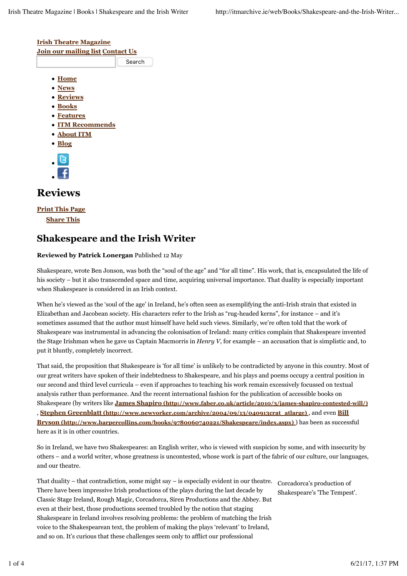

## **Shakespeare and the Irish Writer**

## **Reviewed by Patrick Lonergan** Published 12 May

Shakespeare, wrote Ben Jonson, was both the "soul of the age" and "for all time". His work, that is, encapsulated the life of his society – but it also transcended space and time, acquiring universal importance. That duality is especially important when Shakespeare is considered in an Irish context.

When he's viewed as the 'soul of the age' in Ireland, he's often seen as exemplifying the anti-Irish strain that existed in Elizabethan and Jacobean society. His characters refer to the Irish as "rug-headed kerns", for instance – and it's sometimes assumed that the author must himself have held such views. Similarly, we're often told that the work of Shakespeare was instrumental in advancing the colonisation of Ireland: many critics complain that Shakespeare invented the Stage Irishman when he gave us Captain Macmorris in *Henry V*, for example – an accusation that is simplistic and, to put it bluntly, completely incorrect.

That said, the proposition that Shakespeare is 'for all time' is unlikely to be contradicted by anyone in this country. Most of our great writers have spoken of their indebtedness to Shakespeare, and his plays and poems occupy a central position in our second and third level curricula – even if approaches to teaching his work remain excessively focussed on textual analysis rather than performance. And the recent international fashion for the publication of accessible books on Shakespeare (by writers like **James Shapiro (http://www.faber.co.uk/article/2010/3/james-shapiro-contested-will/)** , **Stephen Greenblatt (http://www.newyorker.com/archive/2004/09/13/040913crat\_atlarge)** , and even **Bill Bryson (http://www.harpercollins.com/books/9780060740221/Shakespeare/index.aspx)** ) has been as successful here as it is in other countries.

So in Ireland, we have two Shakespeares: an English writer, who is viewed with suspicion by some, and with insecurity by others – and a world writer, whose greatness is uncontested, whose work is part of the fabric of our culture, our languages, and our theatre.

That duality – that contradiction, some might say – is especially evident in our theatre. There have been impressive Irish productions of the plays during the last decade by Classic Stage Ireland, Rough Magic, Corcadorca, Siren Productions and the Abbey. But even at their best, those productions seemed troubled by the notion that staging Shakespeare in Ireland involves resolving problems: the problem of matching the Irish voice to the Shakespearean text, the problem of making the plays 'relevant' to Ireland, and so on. It's curious that these challenges seem only to afflict our professional

Corcadorca's production of Shakespeare's 'The Tempest'.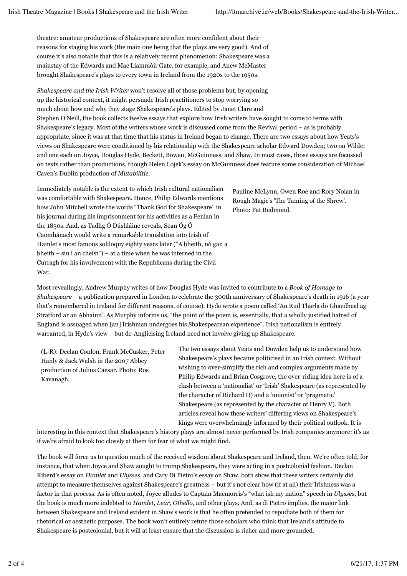theatre: amateur productions of Shakespeare are often more confident about their reasons for staging his work (the main one being that the plays are very good). And of course it's also notable that this is a relatively recent phenomenon: Shakespeare was a mainstay of the Edwards and Mac Liammóir Gate, for example, and Anew McMaster brought Shakespeare's plays to every town in Ireland from the 1920s to the 1950s.

*Shakespeare and the Irish Writer* won't resolve all of those problems but, by opening up the historical context, it might persuade Irish practitioners to stop worrying so much about how and why they stage Shakespeare's plays. Edited by Janet Clare and Stephen O'Neill, the book collects twelve essays that explore how Irish writers have sought to come to terms with Shakespeare's legacy. Most of the writers whose work is discussed come from the Revival period – as is probably appropriate, since it was at that time that his status in Ireland began to change. There are two essays about how Yeats's views on Shakespeare were conditioned by his relationship with the Shakespeare scholar Edward Dowden; two on Wilde; and one each on Joyce, Douglas Hyde, Beckett, Bowen, McGuinness, and Shaw. In most cases, those essays are focussed on texts rather than productions, though Helen Lojek's essay on McGuinness does feature some consideration of Michael Caven's Dublin production of *Mutabilitie*.

Immediately notable is the extent to which Irish cultural nationalism was comfortable with Shakespeare. Hence, Philip Edwards mentions how John Mitchell wrote the words "Thank God for Shakespeare" in his journal during his imprisonment for his activities as a Fenian in the 1850s. And, as Tadhg Ó Dúshláine reveals, Sean Óg Ó Caomhánach would write a remarkable translation into Irish of Hamlet's most famous soliloquy eighty years later ("A bheith, nó gan a  $b$ heith – sin í an cheist") – at a time when he was interned in the Curragh for his involvement with the Republicans during the Civil War.

Pauline McLynn, Owen Roe and Rory Nolan in Rough Magic's 'The Taming of the Shrew'. Photo: Pat Redmond.

Most revealingly, Andrew Murphy writes of how Douglas Hyde was invited to contribute to a *Book of Homage to Shakespeare* – a publication prepared in London to celebrate the 300th anniversary of Shakespeare's death in 1916 (a year that's remembered in Ireland for different reasons, of course). Hyde wrote a poem called 'An Rud Tharla do Ghaedheal ag Stratford ar an Abhainn'. As Murphy informs us, "the point of the poem is, essentially, that a wholly justified hatred of England is assuaged when [an] Irishman undergoes his Shakespearean experience". Irish nationalism is entirely warranted, in Hyde's view – but de-Anglicising Ireland need not involve giving up Shakespeare.

(L-R): Declan Conlon, Frank McCusker, Peter Hanly & Jack Walsh in the 2007 Abbey production of Julius Caesar. Photo: Ros Kavanagh.

The two essays about Yeats and Dowden help us to understand how Shakespeare's plays became politicised in an Irish context. Without wishing to over-simplify the rich and complex arguments made by Philip Edwards and Brian Cosgrove, the over-riding idea here is of a clash between a 'nationalist' or 'Irish' Shakespeare (as represented by the character of Richard II) and a 'unionist' or 'pragmatic' Shakespeare (as represented by the character of Henry V). Both articles reveal how these writers' differing views on Shakespeare's kings were overwhelmingly informed by their political outlook. It is

interesting in this context that Shakespeare's history plays are almost never performed by Irish companies anymore: it's as if we're afraid to look too closely at them for fear of what we might find.

The book will force us to question much of the received wisdom about Shakespeare and Ireland, then. We're often told, for instance, that when Joyce and Shaw sought to trump Shakespeare, they were acting in a postcolonial fashion. Declan Kiberd's essay on *Hamlet* and *Ulysses*, and Cary Di Pietro's essay on Shaw, both show that these writers certainly did attempt to measure themselves against Shakespeare's greatness – but it's not clear how (if at all) their Irishness was a factor in that process. As is often noted, Joyce alludes to Captain Macmorris's "what ish my nation" speech in *Ulysses*, but the book is much more indebted to *Hamlet*, *Lear*, *Othello*, and other plays. And, as di Pietro implies, the major link between Shakespeare and Ireland evident in Shaw's work is that he often pretended to repudiate both of them for rhetorical or aesthetic purposes. The book won't entirely refute those scholars who think that Ireland's attitude to Shakespeare is postcolonial, but it will at least ensure that the discussion is richer and more grounded.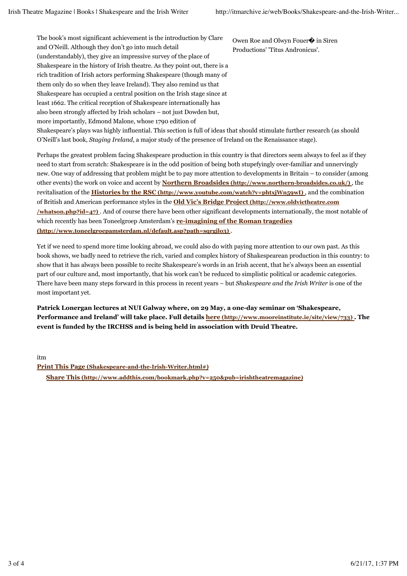The book's most significant achievement is the introduction by Clare and O'Neill. Although they don't go into much detail (understandably), they give an impressive survey of the place of Shakespeare in the history of Irish theatre. As they point out, there is a rich tradition of Irish actors performing Shakespeare (though many of them only do so when they leave Ireland). They also remind us that Shakespeare has occupied a central position on the Irish stage since at least 1662. The critical reception of Shakespeare internationally has also been strongly affected by Irish scholars – not just Dowden but, more importantly, Edmond Malone, whose 1790 edition of

Owen Roe and Olwyn Fouer� in Siren Productions' 'Titus Andronicus'.

Shakespeare's plays was highly influential. This section is full of ideas that should stimulate further research (as should O'Neill's last book, *Staging Ireland*, a major study of the presence of Ireland on the Renaissance stage).

Perhaps the greatest problem facing Shakespeare production in this country is that directors seem always to feel as if they need to start from scratch: Shakespeare is in the odd position of being both stupefyingly over-familiar and unnervingly new. One way of addressing that problem might be to pay more attention to developments in Britain – to consider (among other events) the work on voice and accent by **Northern Broadsides (http://www.northern-broadsides.co.uk/)** , the revitalisation of the **Histories by the RSC (http://www.youtube.com/watch?v=phtxjWn59wI)** , and the combination of British and American performance styles in the **Old Vic's Bridge Project (http://www.oldvictheatre.com /whatson.php?id=47)** . And of course there have been other significant developments internationally, the most notable of which recently has been Toneelgroep Amsterdam's **re-imagining of the Roman tragedies (http://www.toneelgroepamsterdam.nl/default.asp?path=sqrgjlo3)** .

Yet if we need to spend more time looking abroad, we could also do with paying more attention to our own past. As this book shows, we badly need to retrieve the rich, varied and complex history of Shakespearean production in this country: to show that it has always been possible to recite Shakespeare's words in an Irish accent, that he's always been an essential part of our culture and, most importantly, that his work can't be reduced to simplistic political or academic categories. There have been many steps forward in this process in recent years – but *Shakespeare and the Irish Writer* is one of the most important yet.

**Patrick Lonergan lectures at NUI Galway where, on 29 May, a one-day seminar on 'Shakespeare, Performance and Ireland' will take place. Full details here (http://www.mooreinstitute.ie/site/view/733) . The event is funded by the IRCHSS and is being held in association with Druid Theatre.**

itm

**Share This (http://www.addthis.com/bookmark.php?v=250&pub=irishtheatremagazine) Print This Page (Shakespeare-and-the-Irish-Writer.html#)**